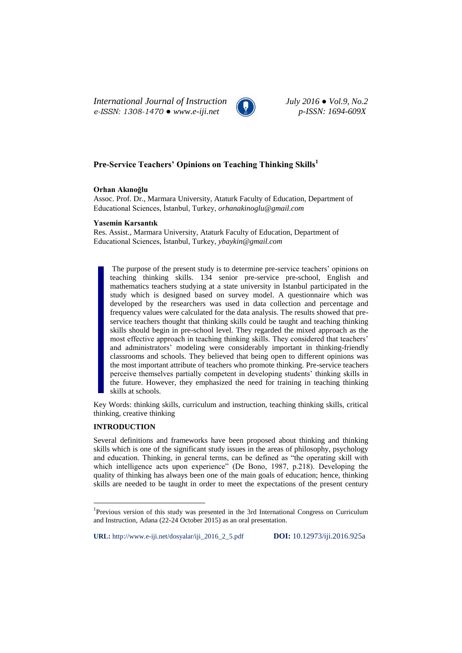*International Journal of Instruction July 2016 ● Vol.9, No.2 e-ISSN: 1308-1470 ● www.e-iji.net p-ISSN: 1694-609X*



# **Pre-Service Teachers' Opinions on Teaching Thinking Skills<sup>1</sup>**

## **Orhan Akınoğlu**

Assoc. Prof. Dr., Marmara University, Ataturk Faculty of Education, Department of Educational Sciences, İstanbul, Turkey, *[orhanakinoglu@gmail.com](mailto:orhanakinoglu@gmail.com)*

## **Yasemin Karsantık**

Res. Assist., Marmara University, Ataturk Faculty of Education, Department of Educational Sciences, İstanbul, Turkey, *ybaykin@gmail.com*

The purpose of the present study is to determine pre-service teachers' opinions on teaching thinking skills. 134 senior pre-service pre-school, English and mathematics teachers studying at a state university in Istanbul participated in the study which is designed based on survey model. A questionnaire which was developed by the researchers was used in data collection and percentage and frequency values were calculated for the data analysis. The results showed that preservice teachers thought that thinking skills could be taught and teaching thinking skills should begin in pre-school level. They regarded the mixed approach as the most effective approach in teaching thinking skills. They considered that teachers' and administrators' modeling were considerably important in thinking-friendly classrooms and schools. They believed that being open to different opinions was the most important attribute of teachers who promote thinking. Pre-service teachers perceive themselves partially competent in developing students' thinking skills in the future. However, they emphasized the need for training in teaching thinking skills at schools.

Key Words: thinking skills, curriculum and instruction, teaching thinking skills, critical thinking, creative thinking

# **INTRODUCTION**

 $\overline{a}$ 

Several definitions and frameworks have been proposed about thinking and thinking skills which is one of the significant study issues in the areas of philosophy, psychology and education. Thinking, in general terms, can be defined as "the operating skill with which intelligence acts upon experience" (De Bono, 1987, p.218). Developing the quality of thinking has always been one of the main goals of education; hence, thinking skills are needed to be taught in order to meet the expectations of the present century

**URL:** http://www.e-iji.net/dosyalar/iji\_2016\_2\_5.pdf **DOI:** 10.12973/iji.2016.925a

<sup>&</sup>lt;sup>1</sup>Previous version of this study was presented in the 3rd International Congress on Curriculum and Instruction, Adana (22-24 October 2015) as an oral presentation.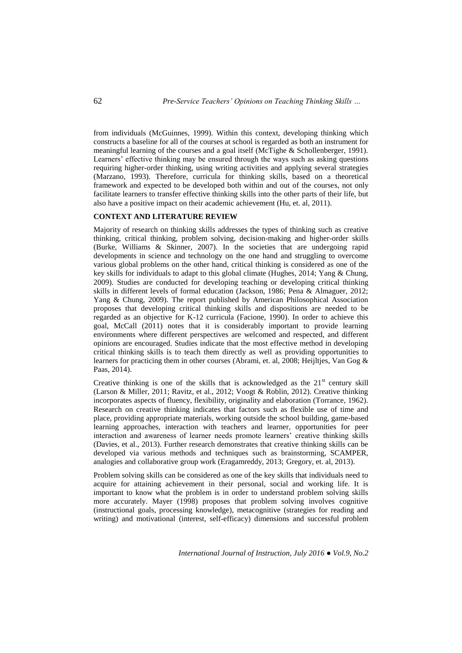from individuals (McGuinnes, 1999). Within this context, developing thinking which constructs a baseline for all of the courses at school is regarded as both an instrument for meaningful learning of the courses and a goal itself (McTighe & Schollenberger, 1991). Learners' effective thinking may be ensured through the ways such as asking questions requiring higher-order thinking, using writing activities and applying several strategies (Marzano, 1993). Therefore, curricula for thinking skills, based on a theoretical framework and expected to be developed both within and out of the courses, not only facilitate learners to transfer effective thinking skills into the other parts of their life, but also have a positive impact on their academic achievement (Hu, et. al, 2011).

# **CONTEXT AND LITERATURE REVIEW**

Majority of research on thinking skills addresses the types of thinking such as creative thinking, critical thinking, problem solving, decision-making and higher-order skills (Burke, Williams & Skinner, 2007). In the societies that are undergoing rapid developments in science and technology on the one hand and struggling to overcome various global problems on the other hand, critical thinking is considered as one of the key skills for individuals to adapt to this global climate (Hughes, 2014; Yang & Chung, 2009). Studies are conducted for developing teaching or developing critical thinking skills in different levels of formal education (Jackson, 1986; Pena & Almaguer, 2012; Yang & Chung, 2009). The report published by American Philosophical Association proposes that developing critical thinking skills and dispositions are needed to be regarded as an objective for K-12 curricula (Facione, 1990). In order to achieve this goal, McCall (2011) notes that it is considerably important to provide learning environments where different perspectives are welcomed and respected, and different opinions are encouraged. Studies indicate that the most effective method in developing critical thinking skills is to teach them directly as well as providing opportunities to learners for practicing them in other courses (Abrami, et. al, 2008; Heijltjes, Van Gog & Paas, 2014).

Creative thinking is one of the skills that is acknowledged as the  $21<sup>st</sup>$  century skill (Larson & Miller, 2011; Ravitz, et al., 2012; Voogt & Roblin, 2012). Creative thinking incorporates aspects of fluency, flexibility, originality and elaboration (Torrance, 1962). Research on creative thinking indicates that factors such as flexible use of time and place, providing appropriate materials, working outside the school building, game-based learning approaches, interaction with teachers and learner, opportunities for peer interaction and awareness of learner needs promote learners" creative thinking skills (Davies, et al., 2013). Further research demonstrates that creative thinking skills can be developed via various methods and techniques such as brainstorming, SCAMPER, analogies and collaborative group work (Eragamreddy, 2013; Gregory, et. al, 2013).

Problem solving skills can be considered as one of the key skills that individuals need to acquire for attaining achievement in their personal, social and working life. It is important to know what the problem is in order to understand problem solving skills more accurately. Mayer (1998) proposes that problem solving involves cognitive (instructional goals, processing knowledge), metacognitive (strategies for reading and writing) and motivational (interest, self-efficacy) dimensions and successful problem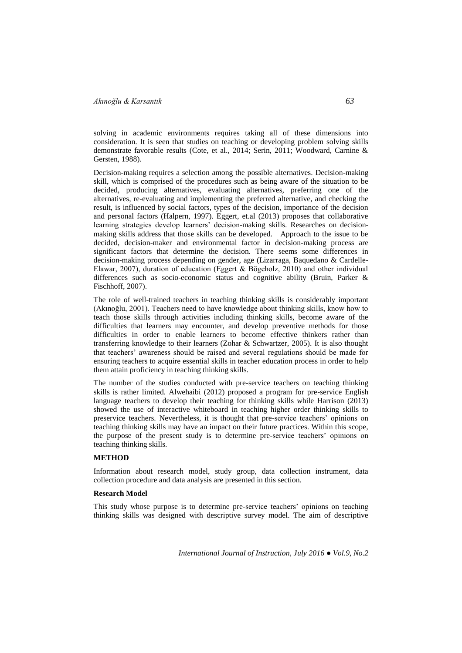solving in academic environments requires taking all of these dimensions into consideration. It is seen that studies on teaching or developing problem solving skills demonstrate favorable results (Cote, et al., 2014; Serin, 2011; Woodward, Carnine & Gersten, 1988).

Decision-making requires a selection among the possible alternatives. Decision-making skill, which is comprised of the procedures such as being aware of the situation to be decided, producing alternatives, evaluating alternatives, preferring one of the alternatives, re-evaluating and implementing the preferred alternative, and checking the result, is influenced by social factors, types of the decision, importance of the decision and personal factors (Halpern, 1997). Eggert, et.al (2013) proposes that collaborative learning strategies develop learners' decision-making skills. Researches on decisionmaking skills address that those skills can be developed. Approach to the issue to be decided, decision-maker and environmental factor in decision-making process are significant factors that determine the decision. There seems some differences in decision-making process depending on gender, age (Lizarraga, Baquedano & Cardelle-Elawar, 2007), duration of education (Eggert & Bögeholz, 2010) and other individual differences such as socio-economic status and cognitive ability (Bruin, Parker & Fischhoff, 2007).

The role of well-trained teachers in teaching thinking skills is considerably important (Akınoğlu, 2001). Teachers need to have knowledge about thinking skills, know how to teach those skills through activities including thinking skills, become aware of the difficulties that learners may encounter, and develop preventive methods for those difficulties in order to enable learners to become effective thinkers rather than transferring knowledge to their learners (Zohar & Schwartzer, 2005). It is also thought that teachers" awareness should be raised and several regulations should be made for ensuring teachers to acquire essential skills in teacher education process in order to help them attain proficiency in teaching thinking skills.

The number of the studies conducted with pre-service teachers on teaching thinking skills is rather limited. Alwehaibi (2012) proposed a program for pre-service English language teachers to develop their teaching for thinking skills while Harrison (2013) showed the use of interactive whiteboard in teaching higher order thinking skills to preservice teachers. Nevertheless, it is thought that pre-service teachers" opinions on teaching thinking skills may have an impact on their future practices. Within this scope, the purpose of the present study is to determine pre-service teachers' opinions on teaching thinking skills.

# **METHOD**

Information about research model, study group, data collection instrument, data collection procedure and data analysis are presented in this section.

### **Research Model**

This study whose purpose is to determine pre-service teachers" opinions on teaching thinking skills was designed with descriptive survey model. The aim of descriptive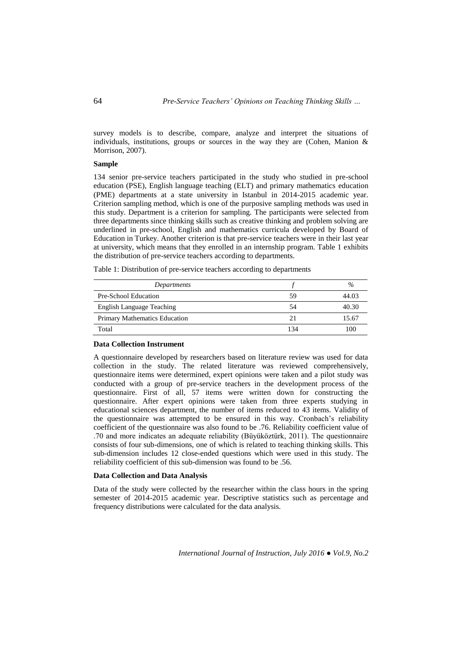survey models is to describe, compare, analyze and interpret the situations of individuals, institutions, groups or sources in the way they are (Cohen, Manion  $\&$ Morrison, 2007).

## **Sample**

134 senior pre-service teachers participated in the study who studied in pre-school education (PSE), English language teaching (ELT) and primary mathematics education (PME) departments at a state university in Istanbul in 2014-2015 academic year. Criterion sampling method, which is one of the purposive sampling methods was used in this study. Department is a criterion for sampling. The participants were selected from three departments since thinking skills such as creative thinking and problem solving are underlined in pre-school, English and mathematics curricula developed by Board of Education in Turkey. Another criterion is that pre-service teachers were in their last year at university, which means that they enrolled in an internship program. Table 1 exhibits the distribution of pre-service teachers according to departments.

Table 1: Distribution of pre-service teachers according to departments

| Departments                   |     | $\%$  |
|-------------------------------|-----|-------|
| Pre-School Education          | 59  | 44.03 |
| English Language Teaching     | .54 | 40.30 |
| Primary Mathematics Education | 21  | 15.67 |
| Total                         | 134 | 100   |

## **Data Collection Instrument**

A questionnaire developed by researchers based on literature review was used for data collection in the study. The related literature was reviewed comprehensively, questionnaire items were determined, expert opinions were taken and a pilot study was conducted with a group of pre-service teachers in the development process of the questionnaire. First of all, 57 items were written down for constructing the questionnaire. After expert opinions were taken from three experts studying in educational sciences department, the number of items reduced to 43 items. Validity of the questionnaire was attempted to be ensured in this way. Cronbach"s reliability coefficient of the questionnaire was also found to be .76. Reliability coefficient value of .70 and more indicates an adequate reliability (Büyüköztürk, 2011). The questionnaire consists of four sub-dimensions, one of which is related to teaching thinking skills. This sub-dimension includes 12 close-ended questions which were used in this study. The reliability coefficient of this sub-dimension was found to be .56.

### **Data Collection and Data Analysis**

Data of the study were collected by the researcher within the class hours in the spring semester of 2014-2015 academic year. Descriptive statistics such as percentage and frequency distributions were calculated for the data analysis.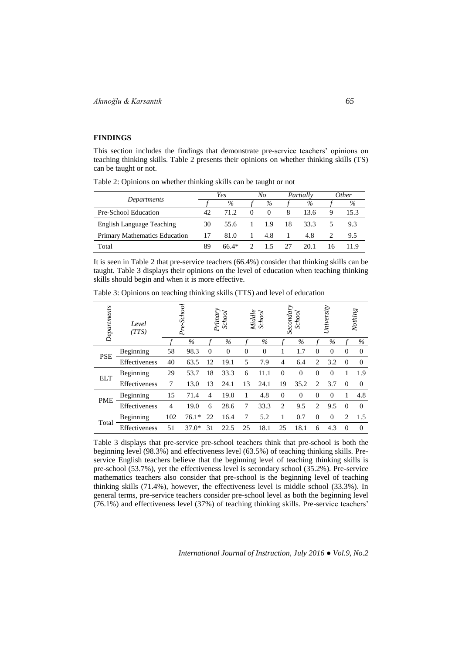# **FINDINGS**

This section includes the findings that demonstrate pre-service teachers' opinions on teaching thinking skills. Table 2 presents their opinions on whether thinking skills (TS) can be taught or not.

Table 2: Opinions on whether thinking skills can be taught or not

|                               |    | Yes     |          | No       |    | Partially |    | <i>Other</i> |
|-------------------------------|----|---------|----------|----------|----|-----------|----|--------------|
| Departments                   |    | $\%$    |          | $\%$     |    | $\%$      |    | $\%$         |
| Pre-School Education          | 42 | 71.2    | $\theta$ | $\theta$ | 8  | 13.6      | Q  | 15.3         |
| English Language Teaching     | 30 | 55.6    |          | 1.9      | 18 | 33.3      |    | 9.3          |
| Primary Mathematics Education | 17 | 81.0    |          | 4.8      |    | 4.8       |    | 9.5          |
| Total                         | 89 | $66.4*$ |          | 15       | 27 | 20-1      | 16 |              |

It is seen in Table 2 that pre-service teachers (66.4%) consider that thinking skills can be taught. Table 3 displays their opinions on the level of education when teaching thinking skills should begin and when it is more effective.

| Departments | Level<br>(TTS) |                | Pre-School | Primar <sub>,</sub> | School         | Middle   | School   | Secondary      | School        |                | University |          | Nothing  |
|-------------|----------------|----------------|------------|---------------------|----------------|----------|----------|----------------|---------------|----------------|------------|----------|----------|
|             |                |                | $\%$       |                     | $\%$           |          | $\%$     |                | $\frac{0}{0}$ |                | $\%$       |          | $\%$     |
| <b>PSE</b>  | Beginning      | 58             | 98.3       | $\Omega$            | $\overline{0}$ | $\theta$ | $\Omega$ |                | 1.7           | $\theta$       | $\Omega$   | $\Omega$ | $\Omega$ |
|             | Effectiveness  | 40             | 63.5       | 12                  | 19.1           | 5        | 7.9      | $\overline{4}$ | 6.4           | $\overline{c}$ | 3.2        | $\Omega$ | $\Omega$ |
| <b>ELT</b>  | Beginning      | 29             | 53.7       | 18                  | 33.3           | 6        | 11.1     | $\overline{0}$ | $\theta$      | $\Omega$       | $\Omega$   |          | 1.9      |
|             | Effectiveness  | 7              | 13.0       | 13                  | 24.1           | 13       | 24.1     | 19             | 35.2          | 2              | 3.7        | $\Omega$ | $\Omega$ |
|             | Beginning      | 15             | 71.4       | 4                   | 19.0           | 1        | 4.8      | $\Omega$       | $\Omega$      | $\theta$       | $\Omega$   |          | 4.8      |
| <b>PME</b>  | Effectiveness  | $\overline{4}$ | 19.0       | 6                   | 28.6           | 7        | 33.3     | $\overline{c}$ | 9.5           | $\overline{c}$ | 9.5        | $\Omega$ | $\Omega$ |
|             | Beginning      | 102            | $76.1*$    | 22                  | 16.4           | 7        | 5.2      |                | 0.7           | $\theta$       | $\Omega$   | 2        | 1.5      |
| Total       | Effectiveness  | 51             | $37.0*$    | 31                  | 22.5           | 25       | 18.1     | 25             | 18.1          | 6              | 4.3        | $\Omega$ | $\Omega$ |

Table 3: Opinions on teaching thinking skills (TTS) and level of education

Table 3 displays that pre-service pre-school teachers think that pre-school is both the beginning level (98.3%) and effectiveness level (63.5%) of teaching thinking skills. Preservice English teachers believe that the beginning level of teaching thinking skills is pre-school (53.7%), yet the effectiveness level is secondary school (35.2%). Pre-service mathematics teachers also consider that pre-school is the beginning level of teaching thinking skills (71.4%), however, the effectiveness level is middle school (33.3%). In general terms, pre-service teachers consider pre-school level as both the beginning level (76.1%) and effectiveness level (37%) of teaching thinking skills. Pre-service teachers"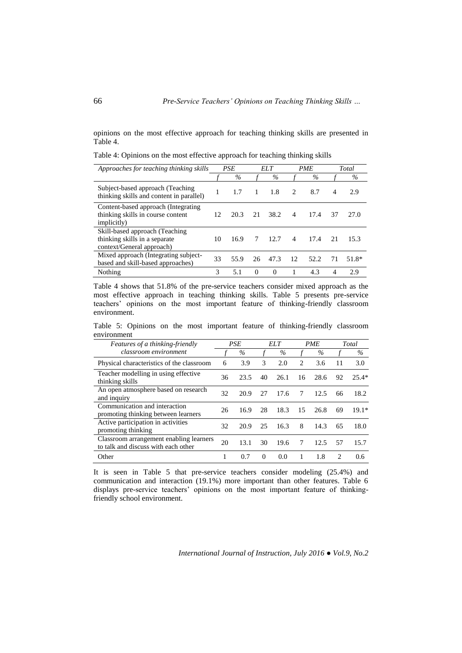opinions on the most effective approach for teaching thinking skills are presented in Table 4.

Table 4: Opinions on the most effective approach for teaching thinking skills

| Approaches for teaching thinking skills                                                         |    | <b>PSE</b> | ELT      |          |                          | <b>PME</b> |                | Total   |
|-------------------------------------------------------------------------------------------------|----|------------|----------|----------|--------------------------|------------|----------------|---------|
|                                                                                                 |    | $\%$       |          | $\%$     |                          | $\%$       |                | $\%$    |
| Subject-based approach (Teaching)<br>thinking skills and content in parallel)                   | 1  | 1.7        | -1       | 1.8      | $\mathfrak{D}$           | 8.7        | $\overline{4}$ | 2.9     |
| Content-based approach (Integrating<br>thinking skills in course content<br><i>implicitly</i> ) | 12 | 20.3       | 21       | 38.2     | $\overline{4}$           | 17.4       | 37             | 27.0    |
| Skill-based approach (Teaching<br>thinking skills in a separate<br>context/General approach)    | 10 | 16.9       | 7        | 12.7     | $\overline{\mathcal{A}}$ | 17.4       | 21             | 15.3    |
| Mixed approach (Integrating subject-<br>based and skill-based approaches)                       | 33 | 55.9       | 26       | 47.3     | 12                       | 52.2       | 71             | $51.8*$ |
| Nothing                                                                                         | 3  | 5.1        | $\Omega$ | $\Omega$ |                          | 4.3        | $\overline{4}$ | 2.9     |

Table 4 shows that 51.8% of the pre-service teachers consider mixed approach as the most effective approach in teaching thinking skills. Table 5 presents pre-service teachers" opinions on the most important feature of thinking-friendly classroom environment.

Table 5: Opinions on the most important feature of thinking-friendly classroom environment

| <i>Features of a thinking-friendly</i>                                         |    | <b>PSE</b> |          | <b>ELT</b> |    | <b>PME</b> |    | Total   |
|--------------------------------------------------------------------------------|----|------------|----------|------------|----|------------|----|---------|
| classroom environment                                                          |    | $\%$       |          | $\%$       |    | $\%$       |    | $\%$    |
| Physical characteristics of the classroom                                      | 6  | 3.9        | 3        | 2.0        | 2  | 3.6        | 11 | 3.0     |
| Teacher modelling in using effective<br>thinking skills                        | 36 | 23.5       | 40       | 26.1       | 16 | 28.6       | 92 | $25.4*$ |
| An open atmosphere based on research<br>and inquiry                            | 32 | 20.9       | 27       | 17.6       | 7  | 12.5       | 66 | 18.2    |
| Communication and interaction<br>promoting thinking between learners           | 26 | 16.9       | 28       | 18.3       | 15 | 26.8       | 69 | $19.1*$ |
| Active participation in activities<br>promoting thinking                       | 32 | 20.9       | 25       | 16.3       | 8  | 14.3       | 65 | 18.0    |
| Classroom arrangement enabling learners<br>to talk and discuss with each other | 20 | 13.1       | 30       | 19.6       | 7  | 12.5       | 57 | 15.7    |
| Other                                                                          |    | 0.7        | $\Omega$ | 0.0        |    | 1.8        | 2  | 0.6     |

It is seen in Table 5 that pre-service teachers consider modeling (25.4%) and communication and interaction (19.1%) more important than other features. Table 6 displays pre-service teachers' opinions on the most important feature of thinkingfriendly school environment.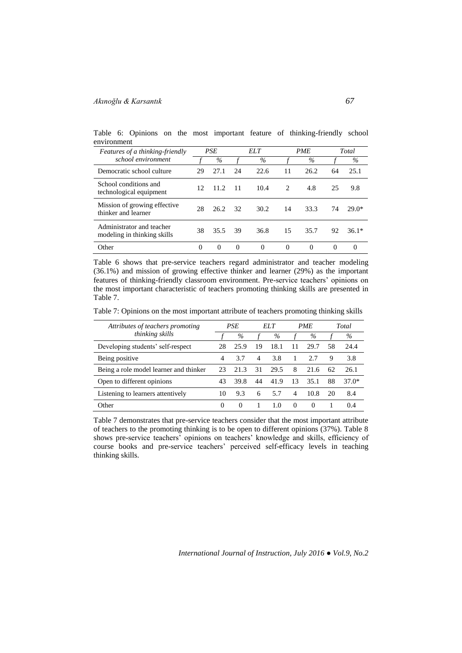# *Akınoğlu & Karsantık 67*

|             |  |  |  |  | Table 6: Opinions on the most important feature of thinking-friendly school |  |
|-------------|--|--|--|--|-----------------------------------------------------------------------------|--|
| environment |  |  |  |  |                                                                             |  |

| <i>Features of a thinking-friendly</i>                   | <b>PSE</b> |          | EL T     |          |                | <b>PME</b> | Total    |         |  |
|----------------------------------------------------------|------------|----------|----------|----------|----------------|------------|----------|---------|--|
| school environment                                       |            | $\%$     |          | $\%$     |                | $\%$       |          | $\%$    |  |
| Democratic school culture                                | 29         | 27.1     | 24       | 22.6     | 11             | 26.2       | 64       | 25.1    |  |
| School conditions and<br>technological equipment         | 12         | 11.2     | -11      | 10.4     | $\mathfrak{D}$ | 4.8        | 25       | 9.8     |  |
| Mission of growing effective<br>thinker and learner      | 28         | 26.2     | 32       | 30.2     | 14             | 33.3       | 74       | $29.0*$ |  |
| Administrator and teacher<br>modeling in thinking skills | 38         | 35.5     | 39       | 36.8     | 15             | 35.7       | 92       | $36.1*$ |  |
| Other                                                    |            | $\Omega$ | $\Omega$ | $\Omega$ | $\Omega$       | $\Omega$   | $\Omega$ | 0       |  |

Table 6 shows that pre-service teachers regard administrator and teacher modeling (36.1%) and mission of growing effective thinker and learner (29%) as the important features of thinking-friendly classroom environment. Pre-service teachers" opinions on the most important characteristic of teachers promoting thinking skills are presented in Table 7.

Table 7: Opinions on the most important attribute of teachers promoting thinking skills

| Attributes of teachers promoting<br>thinking skills |          | PSE  |    | EL T |          | <b>PME</b> |    | Total |
|-----------------------------------------------------|----------|------|----|------|----------|------------|----|-------|
|                                                     |          | $\%$ |    | $\%$ |          | $\%$       |    | $\%$  |
| Developing students' self-respect                   | 28       | 25.9 | 19 | 18.1 | 11       | 29.7       | 58 | 24.4  |
| Being positive                                      | 4        | 3.7  | 4  | 3.8  |          | 27         | 9  | 3.8   |
| Being a role model learner and thinker              | 23       | 21.3 | 31 | 29.5 | 8        | 21.6       | 62 | 26.1  |
| Open to different opinions                          | 43       | 39.8 | 44 | 41.9 | 13       | 35.1       | 88 | 37.0* |
| Listening to learners attentively                   | 10       | 9.3  | 6  | 5.7  | 4        | 10.8       | 20 | 8.4   |
| Other                                               | $\theta$ | 0    |    | 1.0  | $\theta$ | $\theta$   |    | 04    |

Table 7 demonstrates that pre-service teachers consider that the most important attribute of teachers to the promoting thinking is to be open to different opinions (37%). Table 8 shows pre-service teachers" opinions on teachers" knowledge and skills, efficiency of course books and pre-service teachers" perceived self-efficacy levels in teaching thinking skills.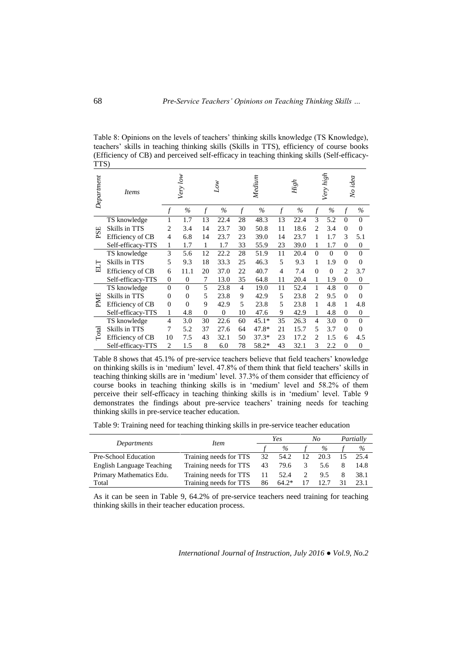Table 8: Opinions on the levels of teachers' thinking skills knowledge (TS Knowledge), teachers" skills in teaching thinking skills (Skills in TTS), efficiency of course books (Efficiency of CB) and perceived self-efficacy in teaching thinking skills (Self-efficacy-TTS)

| Department | Items             | Very low<br>Lοw |          |                | Medium         |                |         | High          |      | Very high                |          | No idea        |          |
|------------|-------------------|-----------------|----------|----------------|----------------|----------------|---------|---------------|------|--------------------------|----------|----------------|----------|
|            |                   | f               | $\%$     | $\overline{f}$ | $\%$           | $\overline{f}$ | $\%$    | $\mathcal{f}$ | $\%$ | $\boldsymbol{f}$         | $\%$     | f              | $\%$     |
|            | TS knowledge      |                 | 1.7      | 13             | 22.4           | 28             | 48.3    | 13            | 22.4 | 3                        | 5.2      | $\Omega$       | $\Omega$ |
| PSE        | Skills in TTS     | 2               | 3.4      | 14             | 23.7           | 30             | 50.8    | 11            | 18.6 | 2                        | 3.4      | $\Omega$       | $\theta$ |
|            | Efficiency of CB  | 4               | 6.8      | 14             | 23.7           | 23             | 39.0    | 14            | 23.7 | 1                        | 1.7      | 3              | 5.1      |
|            | Self-efficacy-TTS | 1               | 1.7      | 1              | 1.7            | 33             | 55.9    | 23            | 39.0 | 1                        | 1.7      | $\Omega$       | $\theta$ |
|            | TS knowledge      | 3               | 5.6      | 12             | 22.2           | 28             | 51.9    | 11            | 20.4 | $\Omega$                 | $\Omega$ | $\theta$       | $\theta$ |
| ELT        | Skills in TTS     | 5               | 9.3      | 18             | 33.3           | 25             | 46.3    | 5             | 9.3  |                          | 1.9      | $\Omega$       | $\Omega$ |
|            | Efficiency of CB  | 6               | 11.1     | 20             | 37.0           | 22             | 40.7    | 4             | 7.4  | $\Omega$                 | $\Omega$ | $\overline{c}$ | 3.7      |
|            | Self-efficacy-TTS | $\overline{0}$  | $\theta$ | 7              | 13.0           | 35             | 64.8    | 11            | 20.4 | 1                        | 1.9      | $\Omega$       | $\theta$ |
|            | TS knowledge      | $\overline{0}$  | $\Omega$ | 5              | 23.8           | $\overline{4}$ | 19.0    | 11            | 52.4 | 1                        | 4.8      | $\Omega$       | $\Omega$ |
|            | Skills in TTS     | $\theta$        | $\Omega$ | 5              | 23.8           | 9              | 42.9    | 5             | 23.8 | $\mathfrak{D}$           | 9.5      | $\Omega$       | $\theta$ |
| PME        | Efficiency of CB  | $\overline{0}$  | $\Omega$ | 9              | 42.9           | 5              | 23.8    | 5             | 23.8 | 1                        | 4.8      | 1              | 4.8      |
|            | Self-efficacy-TTS | 1               | 4.8      | $\mathbf{0}$   | $\overline{0}$ | 10             | 47.6    | 9             | 42.9 | 1                        | 4.8      | $\Omega$       | $\theta$ |
|            | TS knowledge      | $\overline{4}$  | 3.0      | 30             | 22.6           | 60             | $45.1*$ | 35            | 26.3 | $\overline{\mathcal{A}}$ | 3.0      | $\theta$       | $\theta$ |
| Total      | Skills in TTS     | 7               | 5.2      | 37             | 27.6           | 64             | 47.8*   | 21            | 15.7 | 5                        | 3.7      | $\Omega$       | $\theta$ |
|            | Efficiency of CB  | 10              | 7.5      | 43             | 32.1           | 50             | $37.3*$ | 23            | 17.2 | $\overline{c}$           | 1.5      | 6              | 4.5      |
|            | Self-efficacy-TTS | $\overline{2}$  | 1.5      | 8              | 6.0            | 78             | 58.2*   | 43            | 32.1 | 3                        | 2.2      | $\Omega$       | $\theta$ |

Table 8 shows that 45.1% of pre-service teachers believe that field teachers" knowledge on thinking skills is in "medium" level. 47.8% of them think that field teachers" skills in teaching thinking skills are in "medium" level. 37.3% of them consider that efficiency of course books in teaching thinking skills is in "medium" level and 58.2% of them perceive their self-efficacy in teaching thinking skills is in "medium" level. Table 9 demonstrates the findings about pre-service teachers' training needs for teaching thinking skills in pre-service teacher education.

Table 9: Training need for teaching thinking skills in pre-service teacher education

|                                  |                        |      | Yes     |    | No   |      | Partially |
|----------------------------------|------------------------|------|---------|----|------|------|-----------|
| Departments                      | <i>Item</i>            |      | $\%$    |    | $\%$ |      | %         |
| Pre-School Education             | Training needs for TTS | 32   | 54.2    | 12 | 20.3 | - 15 | 25.4      |
| <b>English Language Teaching</b> | Training needs for TTS | 43   | 79.6    | 3  | 5.6  |      | 14.8      |
| Primary Mathematics Edu.         | Training needs for TTS | - 11 | 52.4    | 2  | 9.5  | 8    | 38.1      |
| Total                            | Training needs for TTS | 86   | $64.2*$ | 17 | 12.7 | 31   | 23.1      |

As it can be seen in Table 9, 64.2% of pre-service teachers need training for teaching thinking skills in their teacher education process.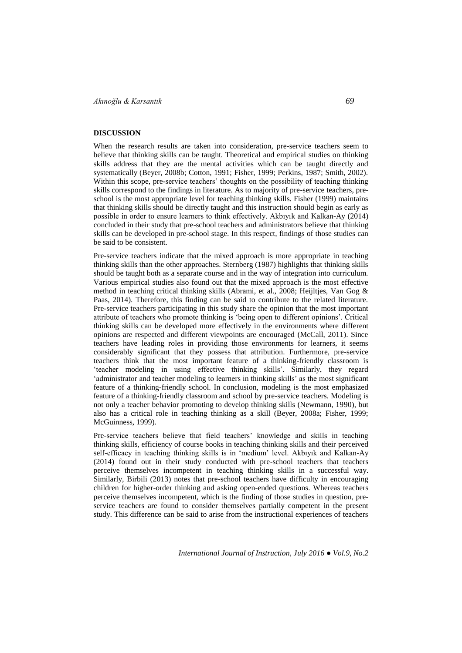## **DISCUSSION**

When the research results are taken into consideration, pre-service teachers seem to believe that thinking skills can be taught. Theoretical and empirical studies on thinking skills address that they are the mental activities which can be taught directly and systematically (Beyer, 2008b; Cotton, 1991; Fisher, 1999; Perkins, 1987; Smith, 2002). Within this scope, pre-service teachers" thoughts on the possibility of teaching thinking skills correspond to the findings in literature. As to majority of pre-service teachers, preschool is the most appropriate level for teaching thinking skills. Fisher (1999) maintains that thinking skills should be directly taught and this instruction should begin as early as possible in order to ensure learners to think effectively. Akbıyık and Kalkan-Ay (2014) concluded in their study that pre-school teachers and administrators believe that thinking skills can be developed in pre-school stage. In this respect, findings of those studies can be said to be consistent.

Pre-service teachers indicate that the mixed approach is more appropriate in teaching thinking skills than the other approaches. Sternberg (1987) highlights that thinking skills should be taught both as a separate course and in the way of integration into curriculum. Various empirical studies also found out that the mixed approach is the most effective method in teaching critical thinking skills (Abrami, et al., 2008; Heijltjes, Van Gog & Paas, 2014). Therefore, this finding can be said to contribute to the related literature. Pre-service teachers participating in this study share the opinion that the most important attribute of teachers who promote thinking is "being open to different opinions". Critical thinking skills can be developed more effectively in the environments where different opinions are respected and different viewpoints are encouraged (McCall, 2011). Since teachers have leading roles in providing those environments for learners, it seems considerably significant that they possess that attribution. Furthermore, pre-service teachers think that the most important feature of a thinking-friendly classroom is "teacher modeling in using effective thinking skills". Similarly, they regard "administrator and teacher modeling to learners in thinking skills" as the most significant feature of a thinking-friendly school. In conclusion, modeling is the most emphasized feature of a thinking-friendly classroom and school by pre-service teachers. Modeling is not only a teacher behavior promoting to develop thinking skills (Newmann, 1990), but also has a critical role in teaching thinking as a skill (Beyer, 2008a; Fisher, 1999; McGuinness, 1999).

Pre-service teachers believe that field teachers" knowledge and skills in teaching thinking skills, efficiency of course books in teaching thinking skills and their perceived self-efficacy in teaching thinking skills is in "medium" level. Akbıyık and Kalkan-Ay (2014) found out in their study conducted with pre-school teachers that teachers perceive themselves incompetent in teaching thinking skills in a successful way. Similarly, Birbili (2013) notes that pre-school teachers have difficulty in encouraging children for higher-order thinking and asking open-ended questions. Whereas teachers perceive themselves incompetent, which is the finding of those studies in question, preservice teachers are found to consider themselves partially competent in the present study. This difference can be said to arise from the instructional experiences of teachers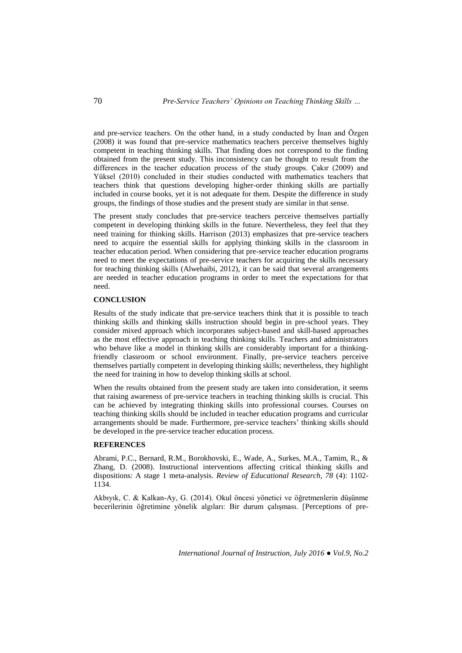and pre-service teachers. On the other hand, in a study conducted by İnan and Özgen (2008) it was found that pre-service mathematics teachers perceive themselves highly competent in teaching thinking skills. That finding does not correspond to the finding obtained from the present study. This inconsistency can be thought to result from the differences in the teacher education process of the study groups. Çakır (2009) and Yüksel (2010) concluded in their studies conducted with mathematics teachers that teachers think that questions developing higher-order thinking skills are partially included in course books, yet it is not adequate for them. Despite the difference in study groups, the findings of those studies and the present study are similar in that sense.

The present study concludes that pre-service teachers perceive themselves partially competent in developing thinking skills in the future. Nevertheless, they feel that they need training for thinking skills. Harrison (2013) emphasizes that pre-service teachers need to acquire the essential skills for applying thinking skills in the classroom in teacher education period. When considering that pre-service teacher education programs need to meet the expectations of pre-service teachers for acquiring the skills necessary for teaching thinking skills (Alwehaibi, 2012), it can be said that several arrangements are needed in teacher education programs in order to meet the expectations for that need.

### **CONCLUSION**

Results of the study indicate that pre-service teachers think that it is possible to teach thinking skills and thinking skills instruction should begin in pre-school years. They consider mixed approach which incorporates subject-based and skill-based approaches as the most effective approach in teaching thinking skills. Teachers and administrators who behave like a model in thinking skills are considerably important for a thinkingfriendly classroom or school environment. Finally, pre-service teachers perceive themselves partially competent in developing thinking skills; nevertheless, they highlight the need for training in how to develop thinking skills at school.

When the results obtained from the present study are taken into consideration, it seems that raising awareness of pre-service teachers in teaching thinking skills is crucial. This can be achieved by integrating thinking skills into professional courses. Courses on teaching thinking skills should be included in teacher education programs and curricular arrangements should be made. Furthermore, pre-service teachers" thinking skills should be developed in the pre-service teacher education process.

# **REFERENCES**

Abrami, P.C., Bernard, R.M., Borokhovski, E., Wade, A., Surkes, M.A., Tamim, R., & Zhang, D. (2008). Instructional interventions affecting critical thinking skills and dispositions: A stage 1 meta-analysis. *Review of Educational Research, 78* (4): 1102- 1134.

Akbıyık, C. & Kalkan-Ay, G. (2014). Okul öncesi yönetici ve öğretmenlerin düşünme becerilerinin öğretimine yönelik algıları: Bir durum çalışması. [Perceptions of pre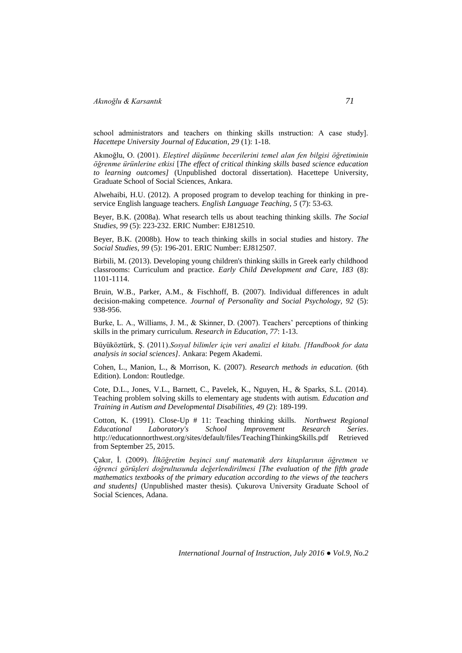*Akınoğlu & Karsantık 71*

school administrators and teachers on thinking skills ınstruction: A case study]. *Hacettepe University Journal of Education*, *29* (1): 1-18.

Akınoğlu, O. (2001). *Eleştirel düşünme becerilerini temel alan fen bilgisi öğretiminin öğrenme ürünlerine etkisi* [*The effect of critical thinking skills based science education to learning outcomes]* (Unpublished doctoral dissertation). Hacettepe University, Graduate School of Social Sciences, Ankara.

Alwehaibi, H.U. (2012). A proposed program to develop teaching for thinking in preservice English language teachers. *English Language Teaching, 5* (7): 53-63.

Beyer, B.K. (2008a). What research tells us about teaching thinking skills. *The Social Studies, 99* (5): 223-232. ERIC Number: EJ812510.

Beyer, B.K. (2008b). How to teach thinking skills in social studies and history. *The Social Studies*, *99* (5): 196-201. ERIC Number: EJ812507.

Birbili, M. (2013). Developing young children's thinking skills in Greek early childhood classrooms: Curriculum and practice. *Early Child Development and Care, 183* (8): 1101-1114.

Bruin, W.B., Parker, A.M., & Fischhoff, B. (2007). Individual differences in adult decision-making competence. *Journal of Personality and Social Psychology, 92* (5): 938-956.

Burke, L. A., Williams, J. M., & Skinner, D. (2007). Teachers' perceptions of thinking skills in the primary curriculum. *Research in Education*, *77*: 1-13.

Büyüköztürk, Ş. (2011).*Sosyal bilimler için veri analizi el kitabı. [Handbook for data analysis in social sciences].* Ankara: Pegem Akademi.

Cohen, L., Manion, L., & Morrison, K. (2007). *Research methods in education.* (6th Edition). London: Routledge.

Cote, D.L., Jones, V.L., Barnett, C., Pavelek, K., Nguyen, H., & Sparks, S.L. (2014). Teaching problem solving skills to elementary age students with autism. *Education and Training in Autism and Developmental Disabilities, 49* (2): 189-199.

Cotton, K. (1991). Close-Up # 11: Teaching thinking skills. *Northwest Regional Educational Laboratory's School Improvement Research Series*. <http://educationnorthwest.org/sites/default/files/TeachingThinkingSkills.pdf> Retrieved from September 25, 2015.

Çakır, İ. (2009). *İlköğretim beşinci sınıf matematik ders kitaplarının öğretmen ve öğrenci görüşleri doğrultusunda değerlendirilmesi [The evaluation of the fifth grade mathematics textbooks of the primary education according to the views of the teachers and students]* (Unpublished master thesis)*.* Çukurova University Graduate School of Social Sciences, Adana.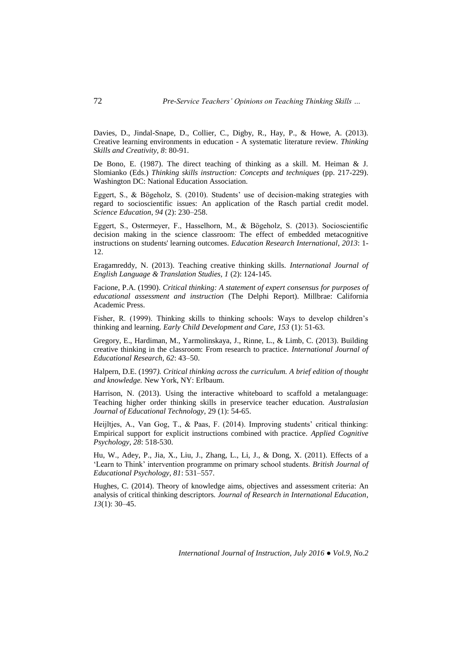Davies, D., Jindal-Snape, D., Collier, C., Digby, R., Hay, P., & Howe, A. (2013). Creative learning environments in education - A systematic literature review. *Thinking Skills and Creativity, 8*: 80-91.

De Bono, E. (1987). The direct teaching of thinking as a skill. M. Heiman & J. Slomianko (Eds.) *Thinking skills instruction: Concepts and techniques* (pp. 217-229). Washington DC: National Education Association.

Eggert, S., & Bögeholz, S. (2010). Students" use of decision-making strategies with regard to socioscientific issues: An application of the Rasch partial credit model. *Science Education*, *94* (2): 230–258.

Eggert, S., Ostermeyer, F., Hasselhorn, M., & Bögeholz, S. (2013). Socioscientific decision making in the science classroom: The effect of embedded metacognitive instructions on students' learning outcomes. *Education Research International*, *2013*: 1- 12.

Eragamreddy, N. (2013). Teaching creative thinking skills*. International Journal of English Language & Translation Studies, 1* (2): 124-145.

Facione, P.A. (1990). *Critical thinking: A statement of expert consensus for purposes of educational assessment and instruction* (The Delphi Report). Millbrae: California Academic Press.

Fisher, R. (1999). Thinking skills to thinking schools: Ways to develop children"s thinking and learning. *Early Child Development and Care, 153* (1): 51-63.

Gregory, E., Hardiman, M., Yarmolinskaya, J., Rinne, L., & Limb, C. (2013). Building creative thinking in the classroom: From research to practice. *International Journal of Educational Research, 62*: 43–50.

Halpern, D.E. (1997*). Critical thinking across the curriculum. A brief edition of thought and knowledge.* New York, NY: Erlbaum.

Harrison, N. (2013). Using the interactive whiteboard to scaffold a metalanguage: Teaching higher order thinking skills in preservice teacher education. *Australasian Journal of Educational Technology,* 29 (1): 54-65.

Heijltjes, A., Van Gog, T., & Paas, F. (2014). Improving students' critical thinking: Empirical support for explicit instructions combined with practice. *Applied Cognitive Psychology, 28*: 518-530.

Hu, W., Adey, P., Jia, X., Liu, J., Zhang, L., Li, J., & Dong, X. (2011). Effects of a "Learn to Think" intervention programme on primary school students. *British Journal of Educational Psychology, 81*: 531–557.

Hughes, C. (2014). Theory of knowledge aims, objectives and assessment criteria: An analysis of critical thinking descriptors*. Journal of Research in International Education*, *13*(1): 30–45.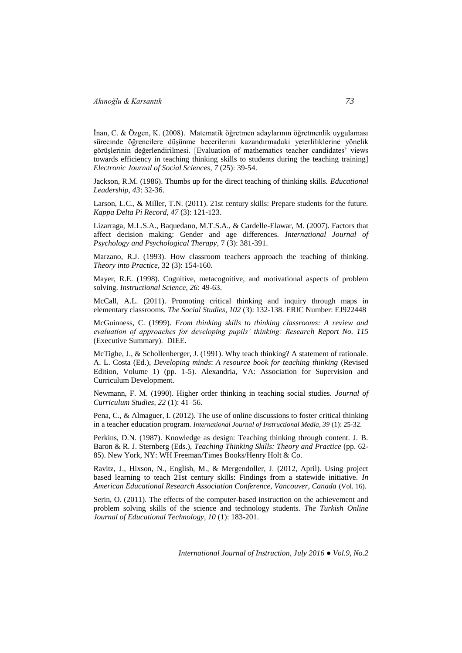İnan, C. & Özgen, K. (2008). Matematik öğretmen adaylarının öğretmenlik uygulaması sürecinde öğrencilere düşünme becerilerini kazandırmadaki yeterliliklerine yönelik görüşlerinin değerlendirilmesi. [Evaluation of mathematics teacher candidates" views towards efficiency in teaching thinking skills to students during the teaching training] *Electronic Journal of Social Sciences, 7* (25): 39-54.

Jackson, R.M. (1986). Thumbs up for the direct teaching of thinking skills. *Educational Leadership, 43*: 32-36.

Larson, L.C., & Miller, T.N. (2011). 21st century skills: Prepare students for the future. *Kappa Delta Pi Record, 47* (3): 121-123.

Lizarraga, M.L.S.A., Baquedano, M.T.S.A., & Cardelle-Elawar, M. (2007). Factors that affect decision making: Gender and age differences*. International Journal of Psychology and Psychological Therapy*, 7 (3): 381-391.

Marzano, R.J. (1993). How classroom teachers approach the teaching of thinking. *Theory into Practice,* 32 (3): 154-160.

Mayer, R.E. (1998). Cognitive, metacognitive, and motivational aspects of problem solving. *Instructional Science, 26*: 49-63.

McCall, A.L. (2011). Promoting critical thinking and inquiry through maps in elementary classrooms. *The Social Studies, 102* (3): 132-138. ERIC Number: EJ922448

McGuinness, C. (1999). *From thinking skills to thinking classrooms: A review and evaluation of approaches for developing pupils' thinking: Research Report No. 115* (Executive Summary). DIEE.

McTighe, J., & Schollenberger, J. (1991). Why teach thinking? A statement of rationale. A. L. Costa (Ed.), *Developing minds*: *A resource book for teaching thinking* (Revised Edition, Volume 1) (pp. 1-5). Alexandria, VA: Association for Supervision and Curriculum Development.

Newmann, F. M. (1990). Higher order thinking in teaching social studies. *Journal of Curriculum Studies, 22* (1): 41–56.

Pena, C., & Almaguer, I. (2012). The use of online discussions to foster critical thinking in a teacher education program. *International Journal of Instructional Media, 39* (1): 25-32.

Perkins, D.N. (1987). Knowledge as design: Teaching thinking through content. J. B. Baron & R. J. Sternberg (Eds.), *Teaching Thinking Skills: Theory and Practice* (pp. 62- 85). New York, NY: WH Freeman/Times Books/Henry Holt & Co.

Ravitz, J., Hixson, N., English, M., & Mergendoller, J. (2012, April). Using project based learning to teach 21st century skills: Findings from a statewide initiative. *In American Educational Research Association Conference, Vancouver, Canada* (Vol. 16).

Serin, O. (2011). The effects of the computer-based instruction on the achievement and problem solving skills of the science and technology students. *The Turkish Online Journal of Educational Technology, 10* (1): 183-201.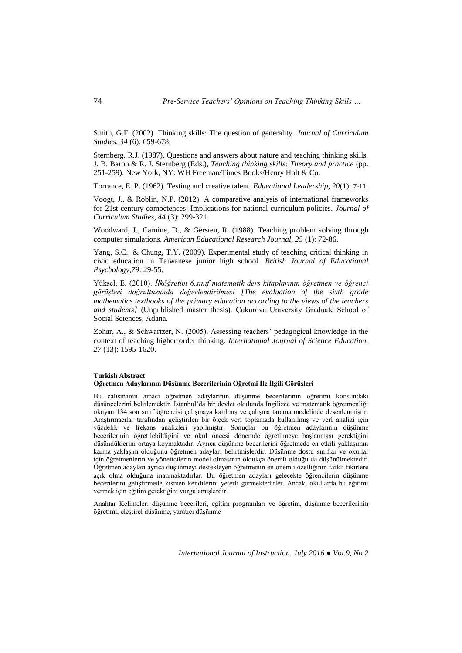Smith, G.F. (2002). Thinking skills: The question of generality. *Journal of Curriculum Studies, 34* (6): 659-678.

Sternberg, R.J. (1987). Questions and answers about nature and teaching thinking skills. J. B. Baron & R. J. Sternberg (Eds.), *Teaching thinking skills: Theory and practice* (pp. 251-259). New York, NY: WH Freeman/Times Books/Henry Holt & Co.

Torrance, E. P. (1962). Testing and creative talent*. Educational Leadership, 20*(1): 7-11.

Voogt, J., & Roblin, N.P. (2012). A comparative analysis of international frameworks for 21st century competences: Implications for national curriculum policies. *Journal of Curriculum Studies, 44* (3): 299-321.

Woodward, J., Carnine, D., & Gersten, R. (1988). Teaching problem solving through computer simulations. *American Educational Research Journal, 25* (1): 72-86.

Yang, S.C., & Chung, T.Y. (2009). Experimental study of teaching critical thinking in civic education in Taiwanese junior high school. *British Journal of Educational Psychology,79*: 29-55.

Yüksel, E. (2010). *İlköğretim 6.sınıf matematik ders kitaplarının öğretmen ve öğrenci görüşleri doğrultusunda değerlendirilmesi [The evaluation of the sixth grade mathematics textbooks of the primary education according to the views of the teachers and students]* (Unpublished master thesis)*.* Çukurova University Graduate School of Social Sciences, Adana.

Zohar, A., & Schwartzer, N. (2005). Assessing teachers" pedagogical knowledge in the context of teaching higher order thinking*. International Journal of Science Education, 27* (13): 1595-1620.

### **Turkish Abstract Öğretmen Adaylarının Düşünme Becerilerinin Öğretmi İle İlgili Görüşleri**

Bu çalışmanın amacı öğretmen adaylarının düşünme becerilerinin öğretimi konsundaki düşüncelerini belirlemektir. İstanbul"da bir devlet okulunda İngilizce ve matematik öğretmenliği okuyan 134 son sınıf öğrencisi çalışmaya katılmış ve çalışma tarama modelinde desenlenmiştir. Araştırmacılar tarafından geliştirilen bir ölçek veri toplamada kullanılmış ve veri analizi için yüzdelik ve frekans analizleri yapılmıştır. Sonuçlar bu öğretmen adaylarının düşünme becerilerinin öğretilebildiğini ve okul öncesi dönemde öğretilmeye başlanması gerektiğini düşündüklerini ortaya koymaktadır. Ayrıca düşünme becerilerini öğretmede en etkili yaklaşımın karma yaklaşım olduğunu öğretmen adayları belirtmişlerdir. Düşünme dostu sınıflar ve okullar için öğretmenlerin ve yöneticilerin model olmasının oldukça önemli olduğu da düşünülmektedir. Öğretmen adayları ayrıca düşünmeyi destekleyen öğretmenin en önemli özelliğinin farklı fikirlere açık olma olduğuna inanmaktadırlar. Bu öğretmen adayları gelecekte öğrencilerin düşünme becerilerini geliştirmede kısmen kendilerini yeterli görmektedirler. Ancak, okullarda bu eğitimi vermek için eğitim gerektiğini vurgulamışlardır.

Anahtar Kelimeler: düşünme becerileri, eğitim programları ve öğretim, düşünme becerilerinin öğretimi, eleştirel düşünme, yaratıcı düşünme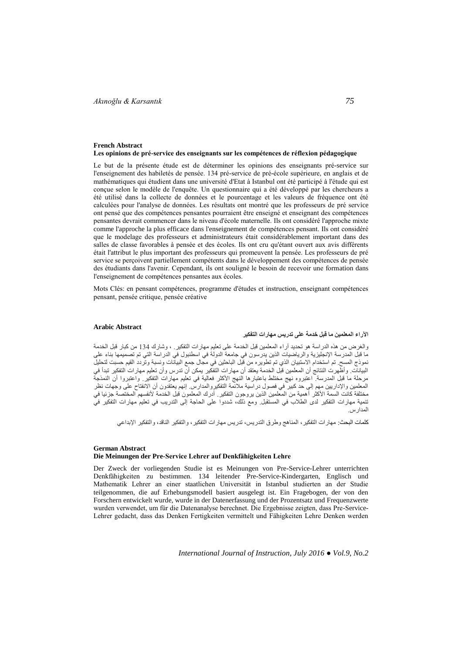#### **French Abstract Les opinions de pré-service des enseignants sur les compétences de réflexion pédagogique**

Le but de la présente étude est de déterminer les opinions des enseignants pré-service sur l'enseignement des habiletés de pensée. 134 pré-service de pré-école supérieure, en anglais et de mathématiques qui étudient dans une université d'Etat à Istanbul ont été participé à l'étude qui est conçue selon le modèle de l'enquête. Un questionnaire qui a été développé par les chercheurs a été utilisé dans la collecte de données et le pourcentage et les valeurs de fréquence ont été calculées pour l'analyse de données. Les résultats ont montré que les professeurs de pré service ont pensé que des compétences pensantes pourraient être enseigné et enseignant des compétences pensantes devrait commencer dans le niveau d'école maternelle. Ils ont considéré l'approche mixte comme l'approche la plus efficace dans l'enseignement de compétences pensant. Ils ont considéré que le modelage des professeurs et administrateurs était considérablement important dans des salles de classe favorables à pensée et des écoles. Ils ont cru qu'étant ouvert aux avis différents était l'attribut le plus important des professeurs qui promeuvent la pensée. Les professeurs de pré service se perçoivent partiellement compétents dans le développement des compétences de pensée des étudiants dans l'avenir. Cependant, ils ont souligné le besoin de recevoir une formation dans l'enseignement de compétences pensantes aux écoles.

Mots Clés: en pensant compétences, programme d'études et instruction, enseignant compétences pensant, pensée critique, pensée créative

### **Arabic Abstract**

## **اآلراء المعلمين ما قبل خدمة على تدريس مهارات التفكير**

والغرض من هذه الدراسة هو تحديد آراء المعلمين قبل الخدمة على تعليم مهارات التفكير ٍ ، وشارك 134 من كبار قبل الخدمة ما قبل المدرسة الإنجليزية والرياضيات الذين يدرسون في جامعة الدولة في اسطنبول في الدراسة التي تم تصميمُها بناء على نموذج المسح. تم استخدام الاستبيان الذي تم تطويره من قبل الباحثين في مجال جمع البيانات ونسبة وتردد القيم حسبت لتحليل البيانات. وأظهرت النتائج أن المعلمين قبل الخدمة يعتقد أن مهار ات التفكير يمكن أن تدرس وأن تعليم مهار ات التفكير تبدأ في مرحلة ما قبل المدرسة. اعتبروه نهج مختلط باعتبارها النهج الأكثر فعالية في تعليم مهارات التفكير. واعتبروا أن النمذجة الْمُعلمين والإداريينَ مهم إلى حدّ كبيرٍ في فصولُ دراسية ملائمة التفكيروالْمُدارس. إنّهُم يُعتَّدُونَ أن الانفتاح على وجهات نظر مختلفة كانت السَمة الأكثُر أهمية من المعلمين الذين يروجون التفكير. أدرك المعلمون قبل الحدمة لأنفسهم المختصّة جزئيا في تنمية مهارات التفكير لدى الطلاب في المستقبل. ومع ذلك، شددوا على الحاجة إلى التدريب في تعليم مهارات التفكير في المدارس.

كلمات البحث: مهارات التفكير ، المناهج وطرق التدريس، تدريس مهار ات التفكير ، والتفكير الناقد، والتفكير الإبداعي

#### **German Abstract Die Meinungen der Pre-Service Lehrer auf Denkfähigkeiten Lehre**

Der Zweck der vorliegenden Studie ist es Meinungen von Pre-Service-Lehrer unterrichten Denkfähigkeiten zu bestimmen. 134 leitender Pre-Service-Kindergarten, Englisch und Mathematik Lehrer an einer staatlichen Universität in Istanbul studierten an der Studie teilgenommen, die auf Erhebungsmodell basiert ausgelegt ist. Ein Fragebogen, der von den Forschern entwickelt wurde, wurde in der Datenerfassung und der Prozentsatz und Frequenzwerte wurden verwendet, um für die Datenanalyse berechnet. Die Ergebnisse zeigten, dass Pre-Service-Lehrer gedacht, dass das Denken Fertigkeiten vermittelt und Fähigkeiten Lehre Denken werden